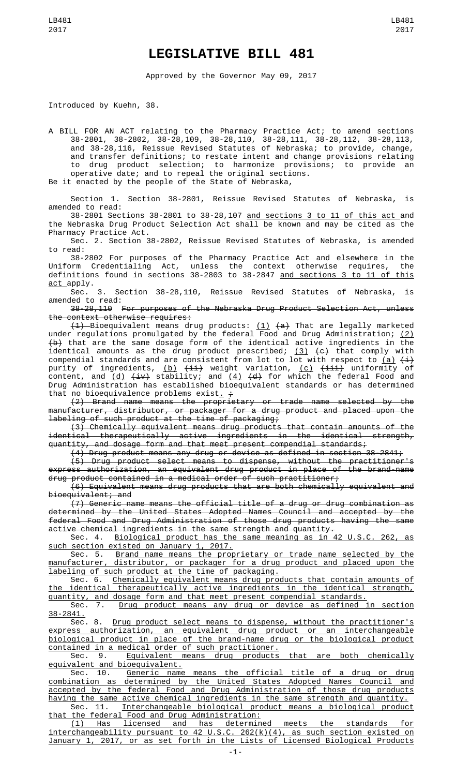## **LEGISLATIVE BILL 481**

Approved by the Governor May 09, 2017

Introduced by Kuehn, 38.

A BILL FOR AN ACT relating to the Pharmacy Practice Act; to amend sections 38-2801, 38-2802, 38-28,109, 38-28,110, 38-28,111, 38-28,112, 38-28,113, and 38-28,116, Reissue Revised Statutes of Nebraska; to provide, change, and transfer definitions; to restate intent and change provisions relating to drug product selection; to harmonize provisions; to provide an operative date; and to repeal the original sections. Be it enacted by the people of the State of Nebraska,

Section 1. Section 38-2801, Reissue Revised Statutes of Nebraska, is amended to read:

38-2801 Sections 38-2801 to 38-28,107 and sections 3 to 11 of this act and the Nebraska Drug Product Selection Act shall be known and may be cited as the Pharmacy Practice Act.

Sec. 2. Section 38-2802, Reissue Revised Statutes of Nebraska, is amended to read:

38-2802 For purposes of the Pharmacy Practice Act and elsewhere in the Uniform Credentialing Act, unless the context otherwise requires, the definitions found in sections 38-2803 to 38-2847 <u>and sections 3 to 11 of this</u> act apply.

Sec. 3. Section 38-28,110, Reissue Revised Statutes of Nebraska, is amended to read:

38-28,110 For purposes of the Nebraska Drug Product Selection Act, unless the context otherwise requires:

<del>(1)</del> Bioequivalent means drug products: <u>(1)</u> <del>(a)</del> That are legally marketed under regulations promulgated by the federal Food and Drug Administration; (2)  $\left\{ \mathrm{\mathbf{b}}\right\}$  that are the same dosage form of the identical active ingredients in the identical amounts as the drug product prescribed; <u>(3)</u> <del>(c)</del> that comply with compendial standards and are consistent from lot to lot with respect to <u>(a)</u>  $\left(\frac{1}{2}\right)$ purity of ingredients, <u>(b)</u> <del>(ii)</del> weight variation, <u>(c)</u> <del>(iii)</del> uniformity of content, and <u>(d)</u> <del>(iv)</del> stability; and <u>(4)</u> <del>(d)</del> for which the federal Food and Drug Administration has established bioequivalent standards or has determined that no bioequivalence problems exist.  $\frac{1}{t}$ 

(2) Brand name means the proprietary or trade name selected by the manufacturer, distributor, or packager for a drug product and placed upon the labeling of such product at the time of packaging;

(3) Chemically equivalent means drug products that contain amounts of the identical therapeutically active ingredients in the identical strength, quantity, and dosage form and that meet present compendial standards;

(4) Drug product means any drug or device as defined in section 38-2841;

(5) Drug product select means to dispense, without the practitioner's express authorization, an equivalent drug product in place of the brand-name drug product contained in a medical order of such practitioner;

(6) Equivalent means drug products that are both chemically equivalent and bioequivalent; and

(7) Generic name means the official title of a drug or drug combination as determined by the United States Adopted Names Council and accepted by the federal Food and Drug Administration of those drug products having the same active chemical ingredients in the same strength and quantity.

Sec. 4. Biological product has the same meaning as in 42 U.S.C. 262, such section existed on January 1, 2017.

Sec. 5. Brand name means the proprietary or trade name selected by the manufacturer, distributor, or packager for a drug product and placed upon the labeling of such product at the time of packaging.

Sec. 6. Chemically equivalent means drug products that contain amounts of the identical therapeutically active ingredients in the identical strength, quantity, and dosage form and that meet present compendial standards.<br>Sec. 7. Drug product means any drug or device as defined :

Drug product means any drug or device as defined in section 38-2841.

Sec. 8. Drug product select means to dispense, without the practitioner's express authorization, an equivalent drug product or an interchangeable biological product in place of the brand-name drug or the biological product contained in a medical order of such practitioner.

Sec. 9. Equivalent means drug products that are both chemically equivalent and bioequivalent.<br>Sec. 10. Generic name

Sec. 10. Generic name means the official title of a drug or drug combination as determined by the United States Adopted Names Council and accepted by the federal Food and Drug Administration of those drug products having the same active chemical ingredients in the same strength and quantity.

Sec. 11. Interchangeable biological product means a biological product that the federal Food and Drug Administration:

(1) Has licensed and has determined meets the standards for interchangeability pursuant to 42 U.S.C. 262(k)(4), as such section existed on January 1, 2017, or as set forth in the Lists of Licensed Biological Products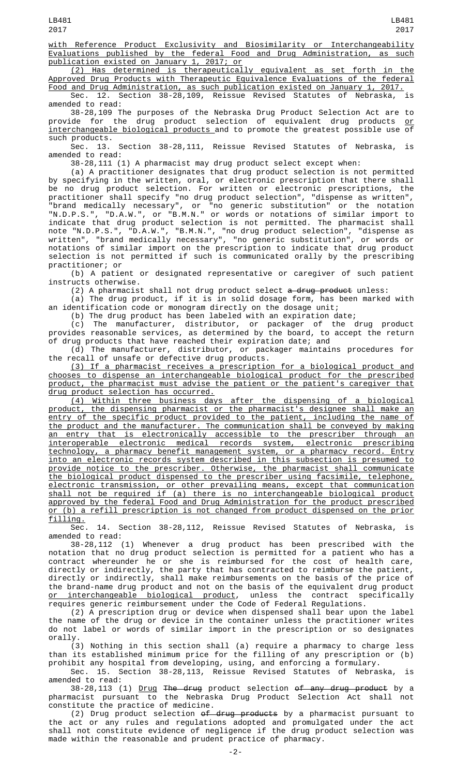with Reference Product Exclusivity and Biosimilarity or Interchangeability Evaluations published by the federal Food and Drug Administration, as such publication existed on January 1, 2017; or

(2) Has determined is therapeutically equivalent as set forth in the Approved Drug Products with Therapeutic Equivalence Evaluations of the federal Food and Drug Administration, as such publication existed on January 1, 2017.

Sec. 12. Section 38-28,109, Reissue Revised Statutes of Nebraska, amended to read:

38-28,109 The purposes of the Nebraska Drug Product Selection Act are to<br>de for the drug product selection of equivalent drug products or. provide for the drug product selection of equivalent drug products interchangeable biological products and to promote the greatest possible use of

such products.<br>Sec. 13. Section 38-28,111, Reissue Revised Statutes of Nebraska, is amended to read:

38-28,111 (1) A pharmacist may drug product select except when:

(a) A practitioner designates that drug product selection is not permitted by specifying in the written, oral, or electronic prescription that there shall be no drug product selection. For written or electronic prescriptions, the practitioner shall specify "no drug product selection", "dispense as written", "brand medically necessary", or "no generic substitution" or the notation "N.D.P.S.", "D.A.W.", or "B.M.N." or words or notations of similar import to indicate that drug product selection is not permitted. The pharmacist shall note "N.D.P.S.", "D.A.W.", "B.M.N.", "no drug product selection", "dispense as written", "brand medically necessary", "no generic substitution", or words or notations of similar import on the prescription to indicate that drug product selection is not permitted if such is communicated orally by the prescribing practitioner; or

(b) A patient or designated representative or caregiver of such patient instructs otherwise.

(2) A pharmacist shall not drug product select <del>a drug product</del> unless:

(a) The drug product, if it is in solid dosage form, has been marked with an identification code or monogram directly on the dosage unit;

(b) The drug product has been labeled with an expiration date;

(c) The manufacturer, distributor, or packager of the drug product provides reasonable services, as determined by the board, to accept the return of drug products that have reached their expiration date; and

(d) The manufacturer, distributor, or packager maintains procedures for the recall of unsafe or defective drug products.

(3) If a pharmacist receives a prescription for a biological product and chooses to dispense an interchangeable biological product for the prescribed product, the pharmacist must advise the patient or the patient's caregiver that drug product selection has occurred.

(4) Within three business days after the dispensing of a biological product, the dispensing pharmacist or the pharmacist's designee shall make an entry of the specific product provided to the patient, including the name of the product and the manufacturer. The communication shall be conveyed by making an entry that is electronically accessible to the prescriber through an interoperable electronic medical records system, electronic prescribing technology, a pharmacy benefit management system, or a pharmacy record. Entry into an electronic records system described in this subsection is presumed to provide notice to the prescriber. Otherwise, the pharmacist shall communicate the biological product dispensed to the prescriber using facsimile, telephone, electronic transmission, or other prevailing means, except that communication shall not be required if (a) there is no interchangeable biological product approved by the federal Food and Drug Administration for the product prescribed or (b) a refill prescription is not changed from product dispensed on the prior f<u>illing.</u><br>Sec.

14. Section 38-28,112, Reissue Revised Statutes of Nebraska, is amended to read:

38-28,112 (1) Whenever a drug product has been prescribed with the notation that no drug product selection is permitted for a patient who has a contract whereunder he or she is reimbursed for the cost of health care, directly or indirectly, the party that has contracted to reimburse the patient, directly or indirectly, shall make reimbursements on the basis of the price of the brand-name drug product and not on the basis of the equivalent drug product <u>or interchangeable biological product</u>, unless the contract specifically requires generic reimbursement under the Code of Federal Regulations.

(2) A prescription drug or device when dispensed shall bear upon the label the name of the drug or device in the container unless the practitioner writes do not label or words of similar import in the prescription or so designates orally.

(3) Nothing in this section shall (a) require a pharmacy to charge less than its established minimum price for the filling of any prescription or (b) prohibit any hospital from developing, using, and enforcing a formulary.

Sec. 15. Section 38-28,113, Reissue Revised Statutes of Nebraska, is amended to read:

38-28,113 (1) <u>Drug</u> <del>The drug</del> product selection <del>of any drug product</del> by a pharmacist pursuant to the Nebraska Drug Product Selection Act shall not constitute the practice of medicine.

(2) Drug product selection <del>of drug products</del> by a pharmacist pursuant to the act or any rules and regulations adopted and promulgated under the act shall not constitute evidence of negligence if the drug product selection was made within the reasonable and prudent practice of pharmacy.